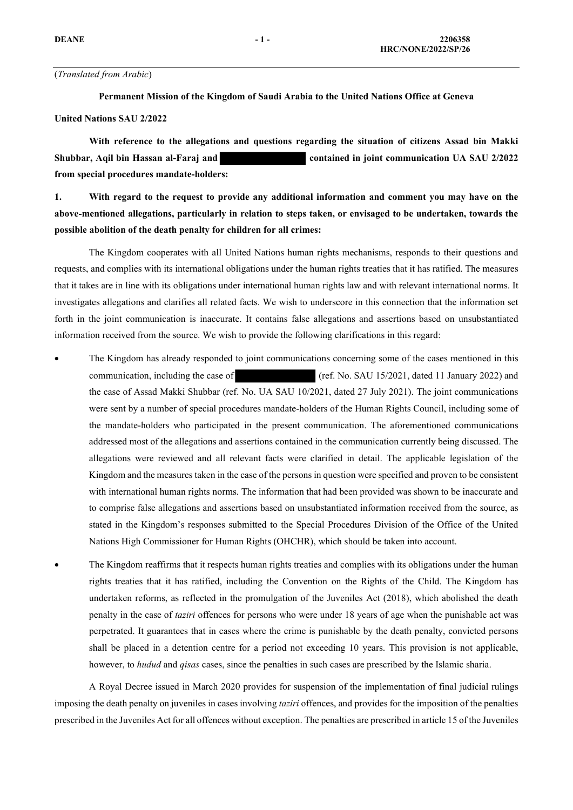## (*Translated from Arabic*)

**Permanent Mission of the Kingdom of Saudi Arabia to the United Nations Office at Geneva**

### **United Nations SAU 2/2022**

**With reference to the allegations and questions regarding the situation of citizens Assad bin Makki Shubbar, Aqil bin Hassan al-Faraj and contained in joint communication UA SAU 2/2022 from special procedures mandate-holders:**

**1. With regard to the request to provide any additional information and comment you may have on the above-mentioned allegations, particularly in relation to steps taken, or envisaged to be undertaken, towards the possible abolition of the death penalty for children for all crimes:**

The Kingdom cooperates with all United Nations human rights mechanisms, responds to their questions and requests, and complies with its international obligations under the human rights treaties that it has ratified. The measures that it takes are in line with its obligations under international human rights law and with relevant international norms. It investigates allegations and clarifies all related facts. We wish to underscore in this connection that the information set forth in the joint communication is inaccurate. It contains false allegations and assertions based on unsubstantiated information received from the source. We wish to provide the following clarifications in this regard:

- The Kingdom has already responded to joint communications concerning some of the cases mentioned in this communication, including the case of (ref. No. SAU 15/2021, dated 11 January 2022) and the case of Assad Makki Shubbar (ref. No. UA SAU 10/2021, dated 27 July 2021). The joint communications were sent by a number of special procedures mandate-holders of the Human Rights Council, including some of the mandate-holders who participated in the present communication. The aforementioned communications addressed most of the allegations and assertions contained in the communication currently being discussed. The allegations were reviewed and all relevant facts were clarified in detail. The applicable legislation of the Kingdom and the measures taken in the case of the persons in question were specified and proven to be consistent with international human rights norms. The information that had been provided was shown to be inaccurate and to comprise false allegations and assertions based on unsubstantiated information received from the source, as stated in the Kingdom's responses submitted to the Special Procedures Division of the Office of the United Nations High Commissioner for Human Rights (OHCHR), which should be taken into account.
- The Kingdom reaffirms that it respects human rights treaties and complies with its obligations under the human rights treaties that it has ratified, including the Convention on the Rights of the Child. The Kingdom has undertaken reforms, as reflected in the promulgation of the Juveniles Act (2018), which abolished the death penalty in the case of *taziri* offences for persons who were under 18 years of age when the punishable act was perpetrated. It guarantees that in cases where the crime is punishable by the death penalty, convicted persons shall be placed in a detention centre for a period not exceeding 10 years. This provision is not applicable, however, to *hudud* and *qisas* cases, since the penalties in such cases are prescribed by the Islamic sharia.

 A Royal Decree issued in March 2020 provides for suspension of the implementation of final judicial rulings imposing the death penalty on juveniles in cases involving *taziri* offences, and provides for the imposition of the penalties prescribed in the Juveniles Act for all offences without exception. The penalties are prescribed in article 15 of the Juveniles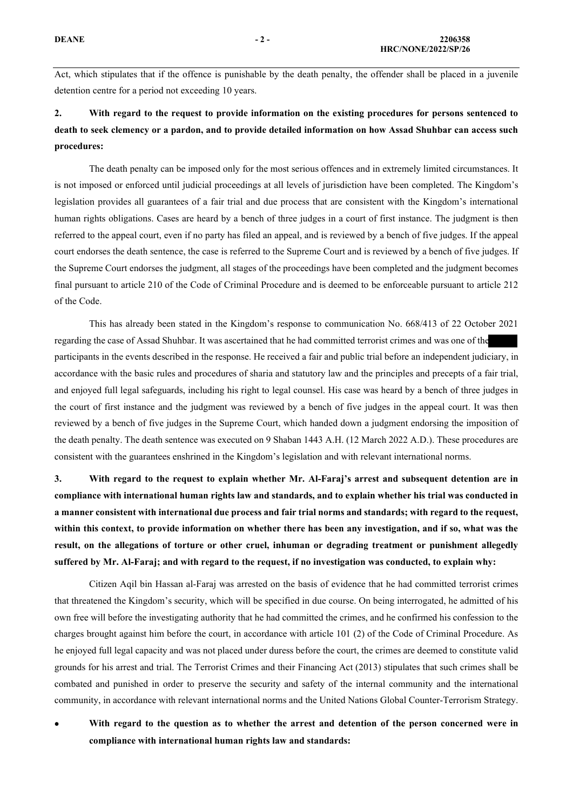Act, which stipulates that if the offence is punishable by the death penalty, the offender shall be placed in a juvenile detention centre for a period not exceeding 10 years.

# **2. With regard to the request to provide information on the existing procedures for persons sentenced to death to seek clemency or a pardon, and to provide detailed information on how Assad Shuhbar can access such procedures:**

 The death penalty can be imposed only for the most serious offences and in extremely limited circumstances. It is not imposed or enforced until judicial proceedings at all levels of jurisdiction have been completed. The Kingdom's legislation provides all guarantees of a fair trial and due process that are consistent with the Kingdom's international human rights obligations. Cases are heard by a bench of three judges in a court of first instance. The judgment is then referred to the appeal court, even if no party has filed an appeal, and is reviewed by a bench of five judges. If the appeal court endorses the death sentence, the case is referred to the Supreme Court and is reviewed by a bench of five judges. If the Supreme Court endorses the judgment, all stages of the proceedings have been completed and the judgment becomes final pursuant to article 210 of the Code of Criminal Procedure and is deemed to be enforceable pursuant to article 212 of the Code.

This has already been stated in the Kingdom's response to communication No. 668/413 of 22 October 2021 regarding the case of Assad Shuhbar. It was ascertained that he had committed terrorist crimes and was one of the participants in the events described in the response. He received a fair and public trial before an independent judiciary, in accordance with the basic rules and procedures of sharia and statutory law and the principles and precepts of a fair trial, and enjoyed full legal safeguards, including his right to legal counsel. His case was heard by a bench of three judges in the court of first instance and the judgment was reviewed by a bench of five judges in the appeal court. It was then reviewed by a bench of five judges in the Supreme Court, which handed down a judgment endorsing the imposition of the death penalty. The death sentence was executed on 9 Shaban 1443 A.H. (12 March 2022 A.D.). These procedures are consistent with the guarantees enshrined in the Kingdom's legislation and with relevant international norms.

**3. With regard to the request to explain whether Mr. Al-Faraj's arrest and subsequent detention are in compliance with international human rights law and standards, and to explain whether his trial was conducted in a manner consistent with international due process and fair trial norms and standards; with regard to the request, within this context, to provide information on whether there has been any investigation, and if so, what was the result, on the allegations of torture or other cruel, inhuman or degrading treatment or punishment allegedly suffered by Mr. Al-Faraj; and with regard to the request, if no investigation was conducted, to explain why:**

Citizen Aqil bin Hassan al-Faraj was arrested on the basis of evidence that he had committed terrorist crimes that threatened the Kingdom's security, which will be specified in due course. On being interrogated, he admitted of his own free will before the investigating authority that he had committed the crimes, and he confirmed his confession to the charges brought against him before the court, in accordance with article 101 (2) of the Code of Criminal Procedure. As he enjoyed full legal capacity and was not placed under duress before the court, the crimes are deemed to constitute valid grounds for his arrest and trial. The Terrorist Crimes and their Financing Act (2013) stipulates that such crimes shall be combated and punished in order to preserve the security and safety of the internal community and the international community, in accordance with relevant international norms and the United Nations Global Counter-Terrorism Strategy.

• **With regard to the question as to whether the arrest and detention of the person concerned were in compliance with international human rights law and standards:**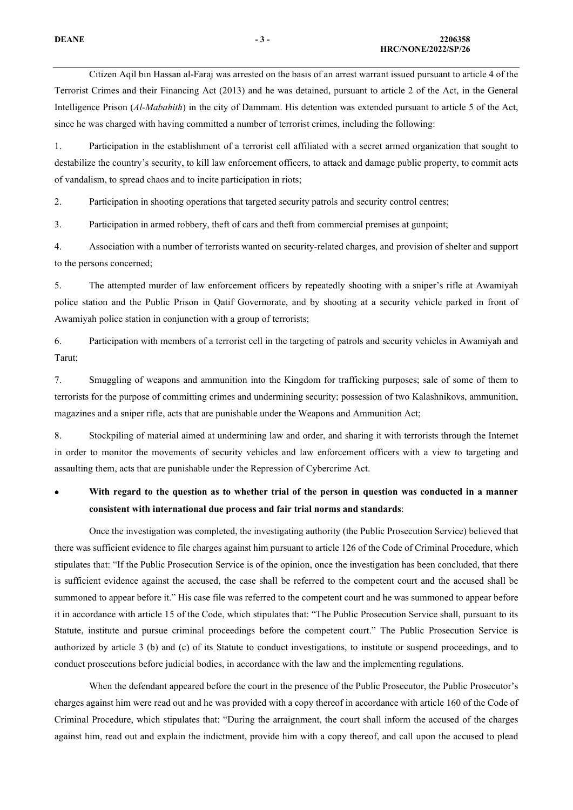Citizen Aqil bin Hassan al-Faraj was arrested on the basis of an arrest warrant issued pursuant to article 4 of the Terrorist Crimes and their Financing Act (2013) and he was detained, pursuant to article 2 of the Act, in the General Intelligence Prison (*Al-Mabahith*) in the city of Dammam. His detention was extended pursuant to article 5 of the Act, since he was charged with having committed a number of terrorist crimes, including the following:

1. Participation in the establishment of a terrorist cell affiliated with a secret armed organization that sought to destabilize the country's security, to kill law enforcement officers, to attack and damage public property, to commit acts of vandalism, to spread chaos and to incite participation in riots;

2. Participation in shooting operations that targeted security patrols and security control centres;

3. Participation in armed robbery, theft of cars and theft from commercial premises at gunpoint;

4. Association with a number of terrorists wanted on security-related charges, and provision of shelter and support to the persons concerned;

5. The attempted murder of law enforcement officers by repeatedly shooting with a sniper's rifle at Awamiyah police station and the Public Prison in Qatif Governorate, and by shooting at a security vehicle parked in front of Awamiyah police station in conjunction with a group of terrorists;

6. Participation with members of a terrorist cell in the targeting of patrols and security vehicles in Awamiyah and Tarut;

7. Smuggling of weapons and ammunition into the Kingdom for trafficking purposes; sale of some of them to terrorists for the purpose of committing crimes and undermining security; possession of two Kalashnikovs, ammunition, magazines and a sniper rifle, acts that are punishable under the Weapons and Ammunition Act;

8. Stockpiling of material aimed at undermining law and order, and sharing it with terrorists through the Internet in order to monitor the movements of security vehicles and law enforcement officers with a view to targeting and assaulting them, acts that are punishable under the Repression of Cybercrime Act.

# • **With regard to the question as to whether trial of the person in question was conducted in a manner consistent with international due process and fair trial norms and standards**:

Once the investigation was completed, the investigating authority (the Public Prosecution Service) believed that there was sufficient evidence to file charges against him pursuant to article 126 of the Code of Criminal Procedure, which stipulates that: "If the Public Prosecution Service is of the opinion, once the investigation has been concluded, that there is sufficient evidence against the accused, the case shall be referred to the competent court and the accused shall be summoned to appear before it." His case file was referred to the competent court and he was summoned to appear before it in accordance with article 15 of the Code, which stipulates that: "The Public Prosecution Service shall, pursuant to its Statute, institute and pursue criminal proceedings before the competent court." The Public Prosecution Service is authorized by article 3 (b) and (c) of its Statute to conduct investigations, to institute or suspend proceedings, and to conduct prosecutions before judicial bodies, in accordance with the law and the implementing regulations.

When the defendant appeared before the court in the presence of the Public Prosecutor, the Public Prosecutor's charges against him were read out and he was provided with a copy thereof in accordance with article 160 of the Code of Criminal Procedure, which stipulates that: "During the arraignment, the court shall inform the accused of the charges against him, read out and explain the indictment, provide him with a copy thereof, and call upon the accused to plead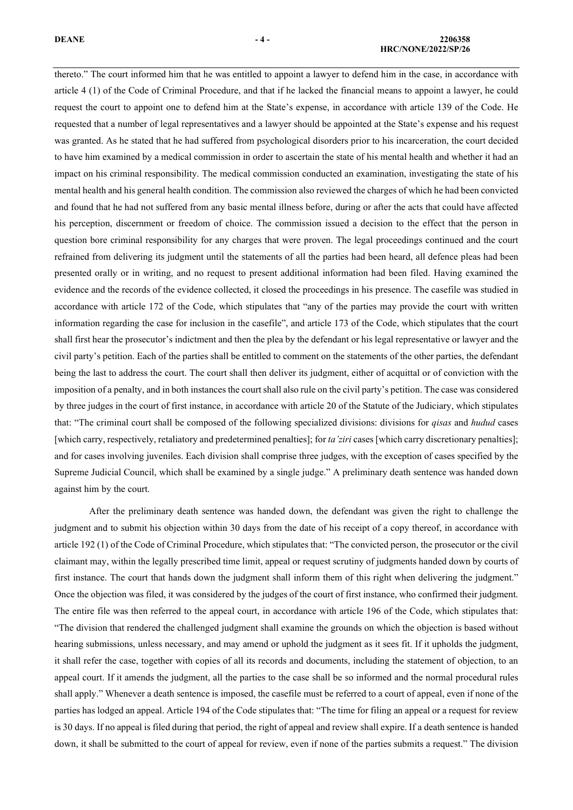# **DEANE - 4 - 2206358**

thereto." The court informed him that he was entitled to appoint a lawyer to defend him in the case, in accordance with article 4 (1) of the Code of Criminal Procedure, and that if he lacked the financial means to appoint a lawyer, he could request the court to appoint one to defend him at the State's expense, in accordance with article 139 of the Code. He requested that a number of legal representatives and a lawyer should be appointed at the State's expense and his request was granted. As he stated that he had suffered from psychological disorders prior to his incarceration, the court decided to have him examined by a medical commission in order to ascertain the state of his mental health and whether it had an impact on his criminal responsibility. The medical commission conducted an examination, investigating the state of his mental health and his general health condition. The commission also reviewed the charges of which he had been convicted and found that he had not suffered from any basic mental illness before, during or after the acts that could have affected his perception, discernment or freedom of choice. The commission issued a decision to the effect that the person in question bore criminal responsibility for any charges that were proven. The legal proceedings continued and the court refrained from delivering its judgment until the statements of all the parties had been heard, all defence pleas had been presented orally or in writing, and no request to present additional information had been filed. Having examined the evidence and the records of the evidence collected, it closed the proceedings in his presence. The casefile was studied in accordance with article 172 of the Code, which stipulates that "any of the parties may provide the court with written information regarding the case for inclusion in the casefile", and article 173 of the Code, which stipulates that the court shall first hear the prosecutor's indictment and then the plea by the defendant or his legal representative or lawyer and the civil party's petition. Each of the parties shall be entitled to comment on the statements of the other parties, the defendant being the last to address the court. The court shall then deliver its judgment, either of acquittal or of conviction with the imposition of a penalty, and in both instances the court shall also rule on the civil party's petition. The case was considered by three judges in the court of first instance, in accordance with article 20 of the Statute of the Judiciary, which stipulates that: "The criminal court shall be composed of the following specialized divisions: divisions for *qisas* and *hudud* cases [which carry, respectively, retaliatory and predetermined penalties]; for *ta'ziri* cases [which carry discretionary penalties]; and for cases involving juveniles. Each division shall comprise three judges, with the exception of cases specified by the Supreme Judicial Council, which shall be examined by a single judge." A preliminary death sentence was handed down against him by the court.

 After the preliminary death sentence was handed down, the defendant was given the right to challenge the judgment and to submit his objection within 30 days from the date of his receipt of a copy thereof, in accordance with article 192 (1) of the Code of Criminal Procedure, which stipulates that: "The convicted person, the prosecutor or the civil claimant may, within the legally prescribed time limit, appeal or request scrutiny of judgments handed down by courts of first instance. The court that hands down the judgment shall inform them of this right when delivering the judgment." Once the objection was filed, it was considered by the judges of the court of first instance, who confirmed their judgment. The entire file was then referred to the appeal court, in accordance with article 196 of the Code, which stipulates that: "The division that rendered the challenged judgment shall examine the grounds on which the objection is based without hearing submissions, unless necessary, and may amend or uphold the judgment as it sees fit. If it upholds the judgment, it shall refer the case, together with copies of all its records and documents, including the statement of objection, to an appeal court. If it amends the judgment, all the parties to the case shall be so informed and the normal procedural rules shall apply." Whenever a death sentence is imposed, the casefile must be referred to a court of appeal, even if none of the parties has lodged an appeal. Article 194 of the Code stipulates that: "The time for filing an appeal or a request for review is 30 days. If no appeal is filed during that period, the right of appeal and review shall expire. If a death sentence is handed down, it shall be submitted to the court of appeal for review, even if none of the parties submits a request." The division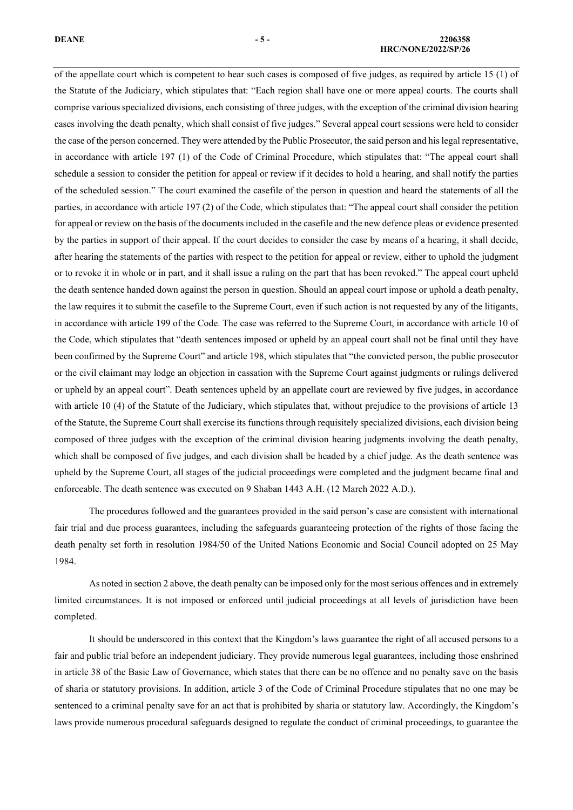### **DEANE - 5 - 2206358 HRC/NONE/2022/SP/26**

of the appellate court which is competent to hear such cases is composed of five judges, as required by article 15 (1) of the Statute of the Judiciary, which stipulates that: "Each region shall have one or more appeal courts. The courts shall comprise various specialized divisions, each consisting of three judges, with the exception of the criminal division hearing cases involving the death penalty, which shall consist of five judges." Several appeal court sessions were held to consider the case of the person concerned. They were attended by the Public Prosecutor, the said person and his legal representative, in accordance with article 197 (1) of the Code of Criminal Procedure, which stipulates that: "The appeal court shall schedule a session to consider the petition for appeal or review if it decides to hold a hearing, and shall notify the parties of the scheduled session." The court examined the casefile of the person in question and heard the statements of all the parties, in accordance with article 197 (2) of the Code, which stipulates that: "The appeal court shall consider the petition for appeal or review on the basis of the documents included in the casefile and the new defence pleas or evidence presented by the parties in support of their appeal. If the court decides to consider the case by means of a hearing, it shall decide, after hearing the statements of the parties with respect to the petition for appeal or review, either to uphold the judgment or to revoke it in whole or in part, and it shall issue a ruling on the part that has been revoked." The appeal court upheld the death sentence handed down against the person in question. Should an appeal court impose or uphold a death penalty, the law requires it to submit the casefile to the Supreme Court, even if such action is not requested by any of the litigants, in accordance with article 199 of the Code. The case was referred to the Supreme Court, in accordance with article 10 of the Code, which stipulates that "death sentences imposed or upheld by an appeal court shall not be final until they have been confirmed by the Supreme Court" and article 198, which stipulates that "the convicted person, the public prosecutor or the civil claimant may lodge an objection in cassation with the Supreme Court against judgments or rulings delivered or upheld by an appeal court". Death sentences upheld by an appellate court are reviewed by five judges, in accordance with article 10 (4) of the Statute of the Judiciary, which stipulates that, without prejudice to the provisions of article 13 of the Statute, the Supreme Court shall exercise its functions through requisitely specialized divisions, each division being composed of three judges with the exception of the criminal division hearing judgments involving the death penalty, which shall be composed of five judges, and each division shall be headed by a chief judge. As the death sentence was upheld by the Supreme Court, all stages of the judicial proceedings were completed and the judgment became final and enforceable. The death sentence was executed on 9 Shaban 1443 A.H. (12 March 2022 A.D.).

The procedures followed and the guarantees provided in the said person's case are consistent with international fair trial and due process guarantees, including the safeguards guaranteeing protection of the rights of those facing the death penalty set forth in resolution 1984/50 of the United Nations Economic and Social Council adopted on 25 May 1984.

As noted in section 2 above, the death penalty can be imposed only for the most serious offences and in extremely limited circumstances. It is not imposed or enforced until judicial proceedings at all levels of jurisdiction have been completed.

It should be underscored in this context that the Kingdom's laws guarantee the right of all accused persons to a fair and public trial before an independent judiciary. They provide numerous legal guarantees, including those enshrined in article 38 of the Basic Law of Governance, which states that there can be no offence and no penalty save on the basis of sharia or statutory provisions. In addition, article 3 of the Code of Criminal Procedure stipulates that no one may be sentenced to a criminal penalty save for an act that is prohibited by sharia or statutory law. Accordingly, the Kingdom's laws provide numerous procedural safeguards designed to regulate the conduct of criminal proceedings, to guarantee the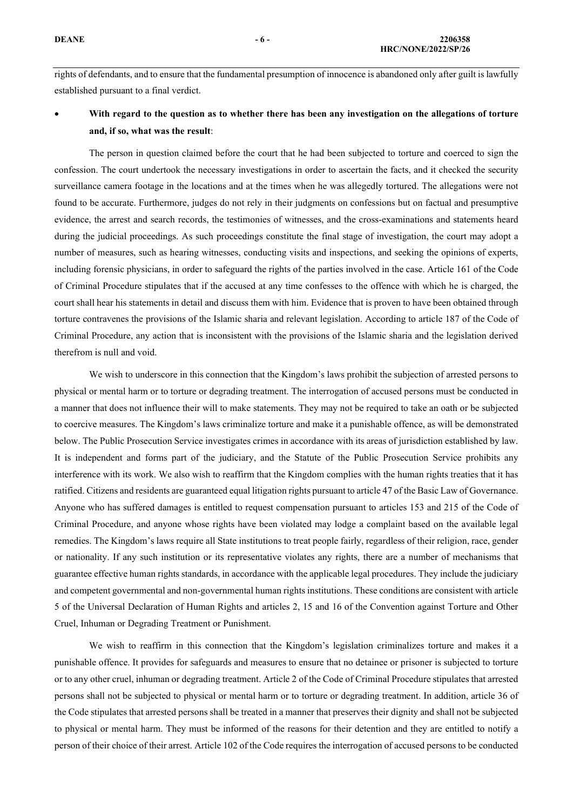rights of defendants, and to ensure that the fundamental presumption of innocence is abandoned only after guilt is lawfully established pursuant to a final verdict.

## • **With regard to the question as to whether there has been any investigation on the allegations of torture and, if so, what was the result**:

The person in question claimed before the court that he had been subjected to torture and coerced to sign the confession. The court undertook the necessary investigations in order to ascertain the facts, and it checked the security surveillance camera footage in the locations and at the times when he was allegedly tortured. The allegations were not found to be accurate. Furthermore, judges do not rely in their judgments on confessions but on factual and presumptive evidence, the arrest and search records, the testimonies of witnesses, and the cross-examinations and statements heard during the judicial proceedings. As such proceedings constitute the final stage of investigation, the court may adopt a number of measures, such as hearing witnesses, conducting visits and inspections, and seeking the opinions of experts, including forensic physicians, in order to safeguard the rights of the parties involved in the case. Article 161 of the Code of Criminal Procedure stipulates that if the accused at any time confesses to the offence with which he is charged, the court shall hear his statements in detail and discuss them with him. Evidence that is proven to have been obtained through torture contravenes the provisions of the Islamic sharia and relevant legislation. According to article 187 of the Code of Criminal Procedure, any action that is inconsistent with the provisions of the Islamic sharia and the legislation derived therefrom is null and void.

We wish to underscore in this connection that the Kingdom's laws prohibit the subjection of arrested persons to physical or mental harm or to torture or degrading treatment. The interrogation of accused persons must be conducted in a manner that does not influence their will to make statements. They may not be required to take an oath or be subjected to coercive measures. The Kingdom's laws criminalize torture and make it a punishable offence, as will be demonstrated below. The Public Prosecution Service investigates crimes in accordance with its areas of jurisdiction established by law. It is independent and forms part of the judiciary, and the Statute of the Public Prosecution Service prohibits any interference with its work. We also wish to reaffirm that the Kingdom complies with the human rights treaties that it has ratified. Citizens and residents are guaranteed equal litigation rights pursuant to article 47 of the Basic Law of Governance. Anyone who has suffered damages is entitled to request compensation pursuant to articles 153 and 215 of the Code of Criminal Procedure, and anyone whose rights have been violated may lodge a complaint based on the available legal remedies. The Kingdom's laws require all State institutions to treat people fairly, regardless of their religion, race, gender or nationality. If any such institution or its representative violates any rights, there are a number of mechanisms that guarantee effective human rights standards, in accordance with the applicable legal procedures. They include the judiciary and competent governmental and non-governmental human rights institutions. These conditions are consistent with article 5 of the Universal Declaration of Human Rights and articles 2, 15 and 16 of the Convention against Torture and Other Cruel, Inhuman or Degrading Treatment or Punishment.

We wish to reaffirm in this connection that the Kingdom's legislation criminalizes torture and makes it a punishable offence. It provides for safeguards and measures to ensure that no detainee or prisoner is subjected to torture or to any other cruel, inhuman or degrading treatment. Article 2 of the Code of Criminal Procedure stipulates that arrested persons shall not be subjected to physical or mental harm or to torture or degrading treatment. In addition, article 36 of the Code stipulates that arrested persons shall be treated in a manner that preserves their dignity and shall not be subjected to physical or mental harm. They must be informed of the reasons for their detention and they are entitled to notify a person of their choice of their arrest. Article 102 of the Code requires the interrogation of accused persons to be conducted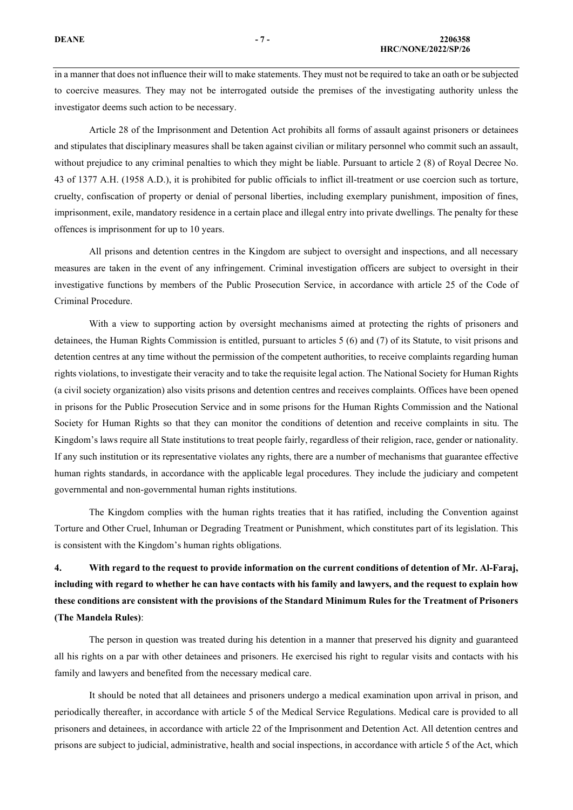in a manner that does not influence their will to make statements. They must not be required to take an oath or be subjected to coercive measures. They may not be interrogated outside the premises of the investigating authority unless the investigator deems such action to be necessary.

Article 28 of the Imprisonment and Detention Act prohibits all forms of assault against prisoners or detainees and stipulates that disciplinary measures shall be taken against civilian or military personnel who commit such an assault, without prejudice to any criminal penalties to which they might be liable. Pursuant to article 2 (8) of Royal Decree No. 43 of 1377 A.H. (1958 A.D.), it is prohibited for public officials to inflict ill-treatment or use coercion such as torture, cruelty, confiscation of property or denial of personal liberties, including exemplary punishment, imposition of fines, imprisonment, exile, mandatory residence in a certain place and illegal entry into private dwellings. The penalty for these offences is imprisonment for up to 10 years.

All prisons and detention centres in the Kingdom are subject to oversight and inspections, and all necessary measures are taken in the event of any infringement. Criminal investigation officers are subject to oversight in their investigative functions by members of the Public Prosecution Service, in accordance with article 25 of the Code of Criminal Procedure.

With a view to supporting action by oversight mechanisms aimed at protecting the rights of prisoners and detainees, the Human Rights Commission is entitled, pursuant to articles 5 (6) and (7) of its Statute, to visit prisons and detention centres at any time without the permission of the competent authorities, to receive complaints regarding human rights violations, to investigate their veracity and to take the requisite legal action. The National Society for Human Rights (a civil society organization) also visits prisons and detention centres and receives complaints. Offices have been opened in prisons for the Public Prosecution Service and in some prisons for the Human Rights Commission and the National Society for Human Rights so that they can monitor the conditions of detention and receive complaints in situ. The Kingdom's laws require all State institutions to treat people fairly, regardless of their religion, race, gender or nationality. If any such institution or its representative violates any rights, there are a number of mechanisms that guarantee effective human rights standards, in accordance with the applicable legal procedures. They include the judiciary and competent governmental and non-governmental human rights institutions.

The Kingdom complies with the human rights treaties that it has ratified, including the Convention against Torture and Other Cruel, Inhuman or Degrading Treatment or Punishment, which constitutes part of its legislation. This is consistent with the Kingdom's human rights obligations.

**4. With regard to the request to provide information on the current conditions of detention of Mr. Al-Faraj, including with regard to whether he can have contacts with his family and lawyers, and the request to explain how these conditions are consistent with the provisions of the Standard Minimum Rules for the Treatment of Prisoners (The Mandela Rules)**:

The person in question was treated during his detention in a manner that preserved his dignity and guaranteed all his rights on a par with other detainees and prisoners. He exercised his right to regular visits and contacts with his family and lawyers and benefited from the necessary medical care.

It should be noted that all detainees and prisoners undergo a medical examination upon arrival in prison, and periodically thereafter, in accordance with article 5 of the Medical Service Regulations. Medical care is provided to all prisoners and detainees, in accordance with article 22 of the Imprisonment and Detention Act. All detention centres and prisons are subject to judicial, administrative, health and social inspections, in accordance with article 5 of the Act, which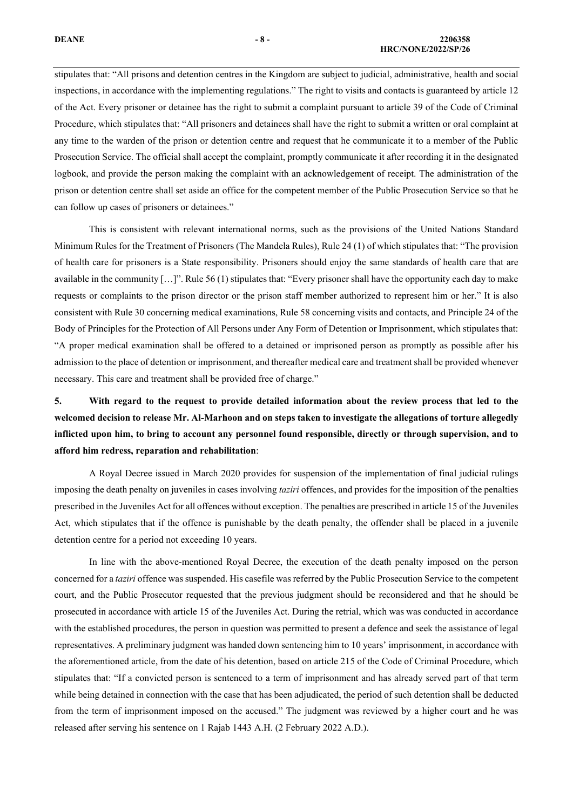### **DEANE - 8 - 2206358 HRC/NONE/2022/SP/26**

stipulates that: "All prisons and detention centres in the Kingdom are subject to judicial, administrative, health and social inspections, in accordance with the implementing regulations." The right to visits and contacts is guaranteed by article 12 of the Act. Every prisoner or detainee has the right to submit a complaint pursuant to article 39 of the Code of Criminal Procedure, which stipulates that: "All prisoners and detainees shall have the right to submit a written or oral complaint at any time to the warden of the prison or detention centre and request that he communicate it to a member of the Public

Prosecution Service. The official shall accept the complaint, promptly communicate it after recording it in the designated logbook, and provide the person making the complaint with an acknowledgement of receipt. The administration of the prison or detention centre shall set aside an office for the competent member of the Public Prosecution Service so that he can follow up cases of prisoners or detainees."

This is consistent with relevant international norms, such as the provisions of the United Nations Standard Minimum Rules for the Treatment of Prisoners (The Mandela Rules), Rule 24 (1) of which stipulates that: "The provision of health care for prisoners is a State responsibility. Prisoners should enjoy the same standards of health care that are available in the community  $[...]$ ". Rule 56 (1) stipulates that: "Every prisoner shall have the opportunity each day to make requests or complaints to the prison director or the prison staff member authorized to represent him or her." It is also consistent with Rule 30 concerning medical examinations, Rule 58 concerning visits and contacts, and Principle 24 of the Body of Principles for the Protection of All Persons under Any Form of Detention or Imprisonment, which stipulates that: "A proper medical examination shall be offered to a detained or imprisoned person as promptly as possible after his admission to the place of detention or imprisonment, and thereafter medical care and treatment shall be provided whenever necessary. This care and treatment shall be provided free of charge."

**5. With regard to the request to provide detailed information about the review process that led to the welcomed decision to release Mr. Al-Marhoon and on steps taken to investigate the allegations of torture allegedly inflicted upon him, to bring to account any personnel found responsible, directly or through supervision, and to afford him redress, reparation and rehabilitation**:

 A Royal Decree issued in March 2020 provides for suspension of the implementation of final judicial rulings imposing the death penalty on juveniles in cases involving *taziri* offences, and provides for the imposition of the penalties prescribed in the Juveniles Act for all offences without exception. The penalties are prescribed in article 15 of the Juveniles Act, which stipulates that if the offence is punishable by the death penalty, the offender shall be placed in a juvenile detention centre for a period not exceeding 10 years.

In line with the above-mentioned Royal Decree, the execution of the death penalty imposed on the person concerned for a *taziri* offence was suspended. His casefile was referred by the Public Prosecution Service to the competent court, and the Public Prosecutor requested that the previous judgment should be reconsidered and that he should be prosecuted in accordance with article 15 of the Juveniles Act. During the retrial, which was was conducted in accordance with the established procedures, the person in question was permitted to present a defence and seek the assistance of legal representatives. A preliminary judgment was handed down sentencing him to 10 years' imprisonment, in accordance with the aforementioned article, from the date of his detention, based on article 215 of the Code of Criminal Procedure, which stipulates that: "If a convicted person is sentenced to a term of imprisonment and has already served part of that term while being detained in connection with the case that has been adjudicated, the period of such detention shall be deducted from the term of imprisonment imposed on the accused." The judgment was reviewed by a higher court and he was released after serving his sentence on 1 Rajab 1443 A.H. (2 February 2022 A.D.).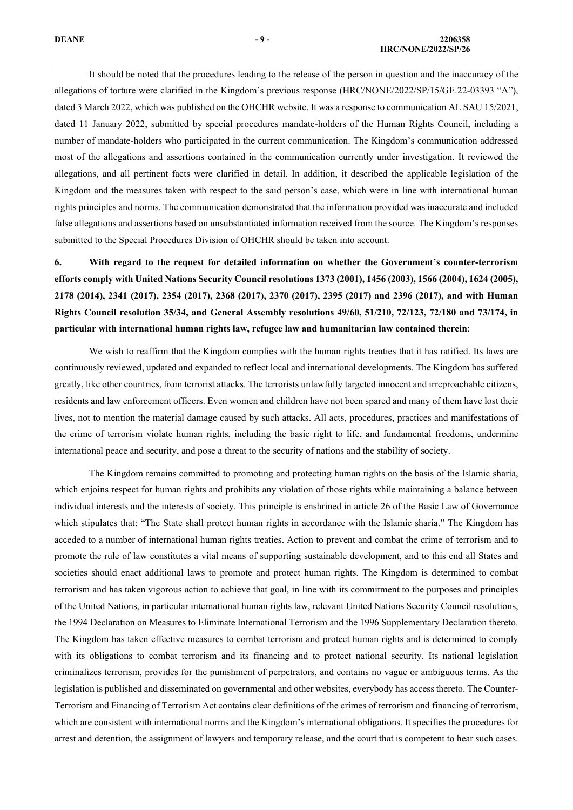It should be noted that the procedures leading to the release of the person in question and the inaccuracy of the allegations of torture were clarified in the Kingdom's previous response (HRC/NONE/2022/SP/15/GE.22-03393 "A"), dated 3 March 2022, which was published on the OHCHR website. It was a response to communication AL SAU 15/2021, dated 11 January 2022, submitted by special procedures mandate-holders of the Human Rights Council, including a number of mandate-holders who participated in the current communication. The Kingdom's communication addressed most of the allegations and assertions contained in the communication currently under investigation. It reviewed the allegations, and all pertinent facts were clarified in detail. In addition, it described the applicable legislation of the Kingdom and the measures taken with respect to the said person's case, which were in line with international human rights principles and norms. The communication demonstrated that the information provided was inaccurate and included false allegations and assertions based on unsubstantiated information received from the source. The Kingdom's responses submitted to the Special Procedures Division of OHCHR should be taken into account.

**6. With regard to the request for detailed information on whether the Government's counter-terrorism efforts comply with United Nations Security Council resolutions 1373 (2001), 1456 (2003), 1566 (2004), 1624 (2005), 2178 (2014), 2341 (2017), 2354 (2017), 2368 (2017), 2370 (2017), 2395 (2017) and 2396 (2017), and with Human Rights Council resolution 35/34, and General Assembly resolutions 49/60, 51/210, 72/123, 72/180 and 73/174, in particular with international human rights law, refugee law and humanitarian law contained therein**:

We wish to reaffirm that the Kingdom complies with the human rights treaties that it has ratified. Its laws are continuously reviewed, updated and expanded to reflect local and international developments. The Kingdom has suffered greatly, like other countries, from terrorist attacks. The terrorists unlawfully targeted innocent and irreproachable citizens, residents and law enforcement officers. Even women and children have not been spared and many of them have lost their lives, not to mention the material damage caused by such attacks. All acts, procedures, practices and manifestations of the crime of terrorism violate human rights, including the basic right to life, and fundamental freedoms, undermine international peace and security, and pose a threat to the security of nations and the stability of society.

The Kingdom remains committed to promoting and protecting human rights on the basis of the Islamic sharia, which enjoins respect for human rights and prohibits any violation of those rights while maintaining a balance between individual interests and the interests of society. This principle is enshrined in article 26 of the Basic Law of Governance which stipulates that: "The State shall protect human rights in accordance with the Islamic sharia." The Kingdom has acceded to a number of international human rights treaties. Action to prevent and combat the crime of terrorism and to promote the rule of law constitutes a vital means of supporting sustainable development, and to this end all States and societies should enact additional laws to promote and protect human rights. The Kingdom is determined to combat terrorism and has taken vigorous action to achieve that goal, in line with its commitment to the purposes and principles of the United Nations, in particular international human rights law, relevant United Nations Security Council resolutions, the 1994 Declaration on Measures to Eliminate International Terrorism and the 1996 Supplementary Declaration thereto. The Kingdom has taken effective measures to combat terrorism and protect human rights and is determined to comply with its obligations to combat terrorism and its financing and to protect national security. Its national legislation criminalizes terrorism, provides for the punishment of perpetrators, and contains no vague or ambiguous terms. As the legislation is published and disseminated on governmental and other websites, everybody has access thereto. The Counter-Terrorism and Financing of Terrorism Act contains clear definitions of the crimes of terrorism and financing of terrorism, which are consistent with international norms and the Kingdom's international obligations. It specifies the procedures for arrest and detention, the assignment of lawyers and temporary release, and the court that is competent to hear such cases.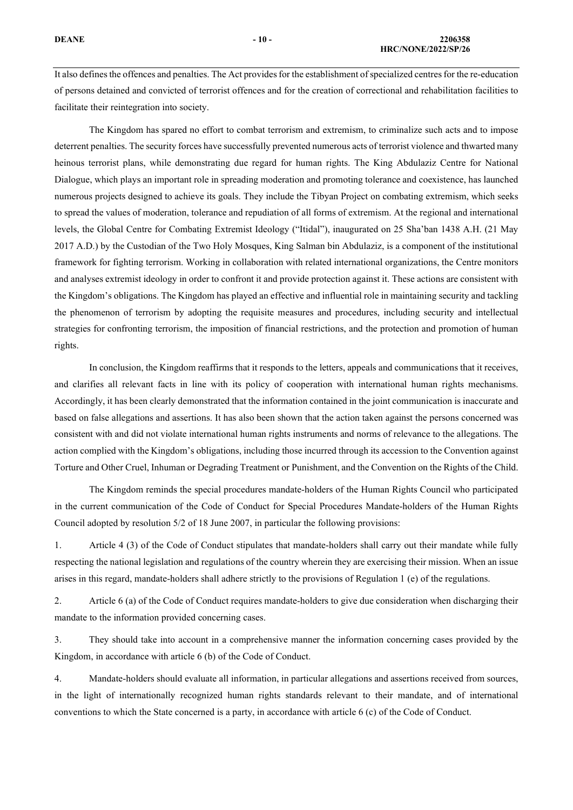It also defines the offences and penalties. The Act provides for the establishment of specialized centresfor the re-education of persons detained and convicted of terrorist offences and for the creation of correctional and rehabilitation facilities to facilitate their reintegration into society.

The Kingdom has spared no effort to combat terrorism and extremism, to criminalize such acts and to impose deterrent penalties. The security forces have successfully prevented numerous acts of terrorist violence and thwarted many heinous terrorist plans, while demonstrating due regard for human rights. The King Abdulaziz Centre for National Dialogue, which plays an important role in spreading moderation and promoting tolerance and coexistence, has launched numerous projects designed to achieve its goals. They include the Tibyan Project on combating extremism, which seeks to spread the values of moderation, tolerance and repudiation of all forms of extremism. At the regional and international levels, the Global Centre for Combating Extremist Ideology ("Itidal"), inaugurated on 25 Sha'ban 1438 A.H. (21 May 2017 A.D.) by the Custodian of the Two Holy Mosques, King Salman bin Abdulaziz, is a component of the institutional framework for fighting terrorism. Working in collaboration with related international organizations, the Centre monitors and analyses extremist ideology in order to confront it and provide protection against it. These actions are consistent with the Kingdom's obligations. The Kingdom has played an effective and influential role in maintaining security and tackling the phenomenon of terrorism by adopting the requisite measures and procedures, including security and intellectual strategies for confronting terrorism, the imposition of financial restrictions, and the protection and promotion of human rights.

In conclusion, the Kingdom reaffirms that it responds to the letters, appeals and communications that it receives, and clarifies all relevant facts in line with its policy of cooperation with international human rights mechanisms. Accordingly, it has been clearly demonstrated that the information contained in the joint communication is inaccurate and based on false allegations and assertions. It has also been shown that the action taken against the persons concerned was consistent with and did not violate international human rights instruments and norms of relevance to the allegations. The action complied with the Kingdom's obligations, including those incurred through its accession to the Convention against Torture and Other Cruel, Inhuman or Degrading Treatment or Punishment, and the Convention on the Rights of the Child.

The Kingdom reminds the special procedures mandate-holders of the Human Rights Council who participated in the current communication of the Code of Conduct for Special Procedures Mandate-holders of the Human Rights Council adopted by resolution 5/2 of 18 June 2007, in particular the following provisions:

1. Article 4 (3) of the Code of Conduct stipulates that mandate-holders shall carry out their mandate while fully respecting the national legislation and regulations of the country wherein they are exercising their mission. When an issue arises in this regard, mandate-holders shall adhere strictly to the provisions of Regulation 1 (e) of the regulations.

2. Article 6 (a) of the Code of Conduct requires mandate-holders to give due consideration when discharging their mandate to the information provided concerning cases.

3. They should take into account in a comprehensive manner the information concerning cases provided by the Kingdom, in accordance with article 6 (b) of the Code of Conduct.

4. Mandate-holders should evaluate all information, in particular allegations and assertions received from sources, in the light of internationally recognized human rights standards relevant to their mandate, and of international conventions to which the State concerned is a party, in accordance with article 6 (c) of the Code of Conduct.